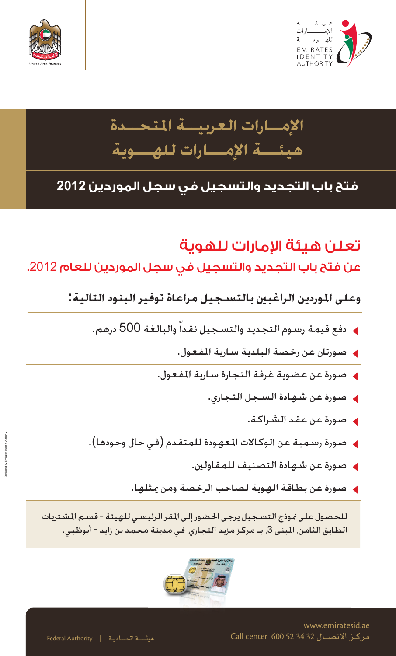



# **الإمــارات العربيــة المتحــدة هيئـــة الإمـــارات للهـــوية**

#### **فتح باب التجديد والتسجيل في سجل الموردين 2012**

### تعلن هيئة الإمارات للهوية

عن فتح باب التجديد والتسجيل في سجل الموردين للعام .2012

**وعلى الموردين الراغبين بالتسجيل مراعاة توفير البنود التالية:**

- دفع قيمة رسوم التجديد والتسجيل نقداً والبالغة 500 درهم.
	- صورتان عن رخصة البلدية سارية المفعول.
	- صورة عن عضوية غرفة التجارة سارية المفعول.
		- صورة عن شهادة السجل التجاري.
			- صورة عن عقد الشراكة.
- صورة رسمية عن الوكالات المعهودة للمتقدم (في حال وجودها).
	- صورة عن شهادة التصنيف للمقاولين.
	- صورة عن بطاقة الهوية لصاحب الرخصة ومن يمثلها.

للحصول على نموذج التسجيل يرجى الحضور إلى المقر الرئيسي للهيئة - قسم المشتريات الطابق الثامن، المبنى 3، بـ مركز مزيد التجاري. في مدينة محمد بن زايد - أبوظبي.



Designed by Emirates Identity Authority